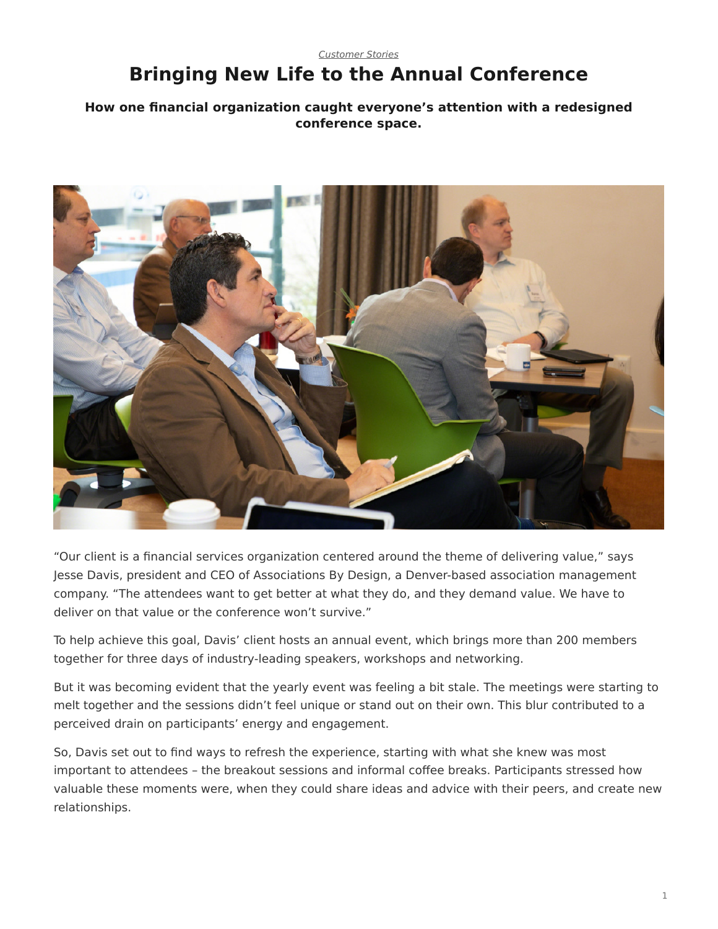## <span id="page-0-0"></span>*[Customer Stories](https://www.steelcase.com/research/topics/customer-stories/)* **Bringing New Life to the Annual Conference**

## **How one financial organization caught everyone's attention with a redesigned conference space.**



"Our client is a financial services organization centered around the theme of delivering value," says Jesse Davis, president and CEO of Associations By Design, a Denver-based association management company. "The attendees want to get better at what they do, and they demand value. We have to deliver on that value or the conference won't survive."

To help achieve this goal, Davis' client hosts an annual event, which brings more than 200 members together for three days of industry-leading speakers, workshops and networking.

But it was becoming evident that the yearly event was feeling a bit stale. The meetings were starting to melt together and the sessions didn't feel unique or stand out on their own. This blur contributed to a perceived drain on participants' energy and engagement.

So, Davis set out to find ways to refresh the experience, starting with what she knew was most important to attendees – the breakout sessions and informal coffee breaks. Participants stressed how valuable these moments were, when they could share ideas and advice with their peers, and create new relationships.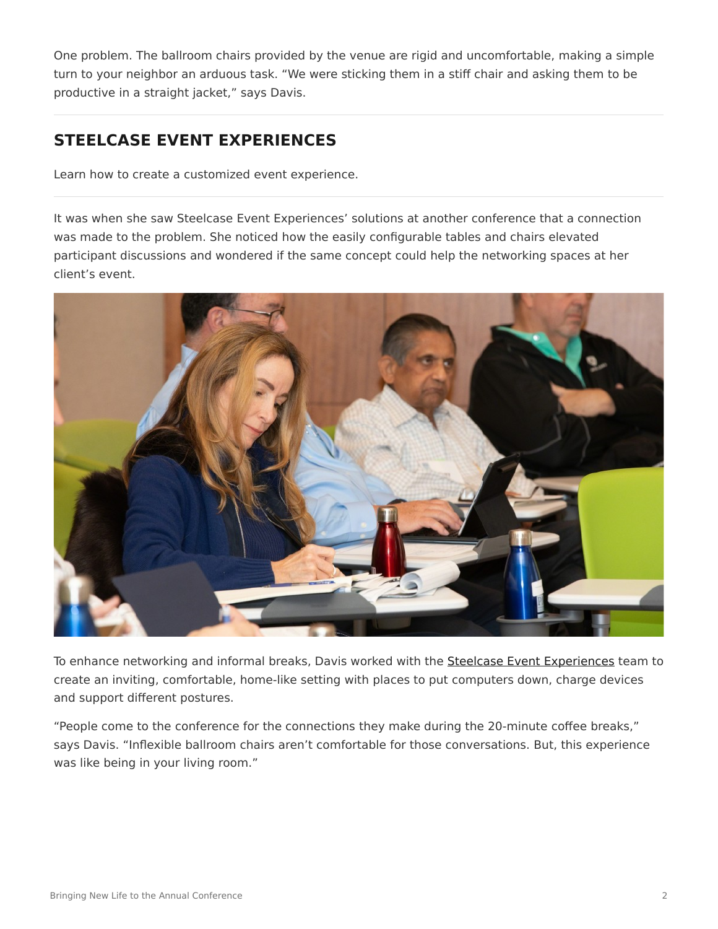One problem. The ballroom chairs provided by the venue are rigid and uncomfortable, making a simple turn to your neighbor an arduous task. "We were sticking them in a stiff chair and asking them to be productive in a straight jacket," says Davis.

## **STEELCASE EVENT EXPERIENCES**

Learn how to create a customized event experience.

It was when she saw Steelcase Event Experiences' solutions at another conference that a connection was made to the problem. She noticed how the easily configurable tables and chairs elevated participant discussions and wondered if the same concept could help the networking spaces at her client's event.



To enhance networking and informal breaks, Davis worked with the [Steelcase Event Experiences](https://steelcaseevents.com/) team to create an inviting, comfortable, home-like setting with places to put computers down, charge devices and support different postures.

"People come to the conference for the connections they make during the 20-minute coffee breaks," says Davis. "Inflexible ballroom chairs aren't comfortable for those conversations. But, this experience was like being in your living room."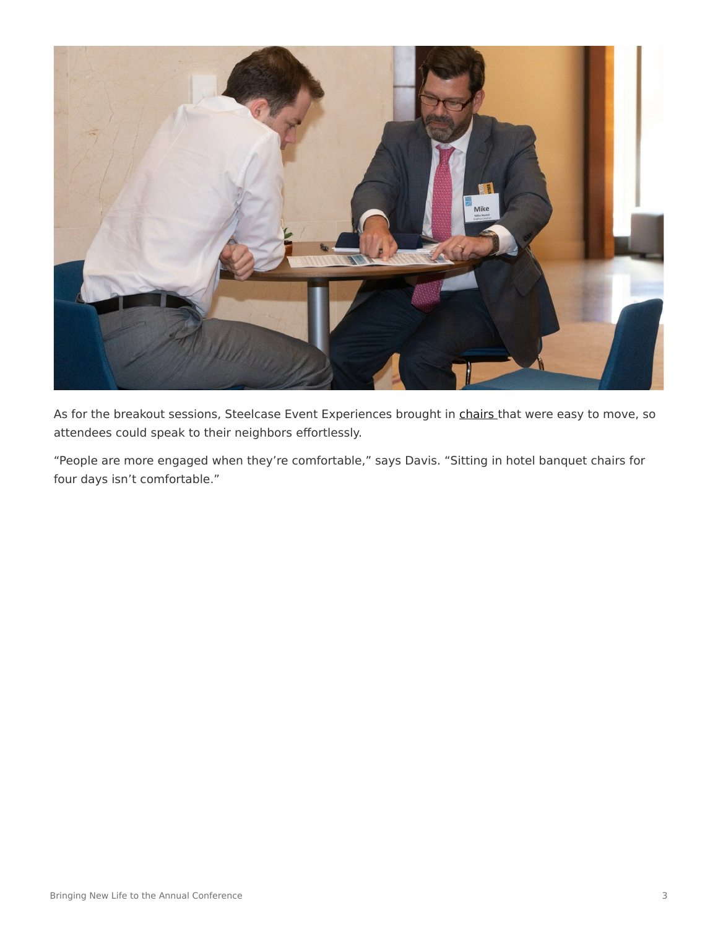

As for the breakout sessions, Steelcase Event Experiences brought in [chairs](https://www.steelcase.com/products/conference-chairs/) that were easy to move, so attendees could speak to their neighbors effortlessly.

"People are more engaged when they're comfortable," says Davis. "Sitting in hotel banquet chairs for four days isn't comfortable."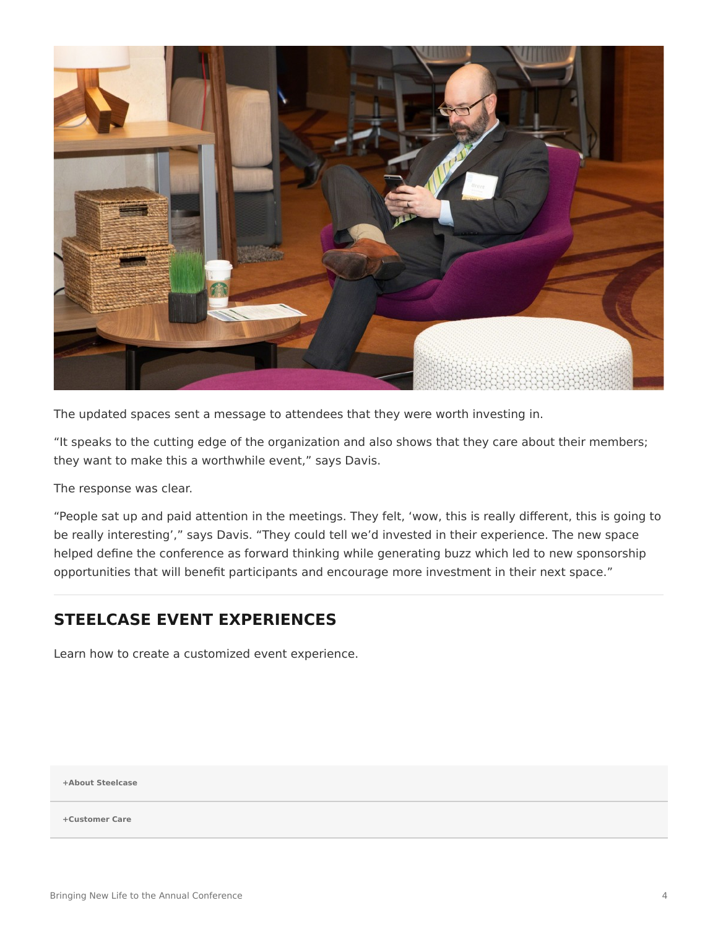

The updated spaces sent a message to attendees that they were worth investing in.

"It speaks to the cutting edge of the organization and also shows that they care about their members; they want to make this a worthwhile event," says Davis.

The response was clear.

"People sat up and paid attention in the meetings. They felt, 'wow, this is really different, this is going to be really interesting'," says Davis. "They could tell we'd invested in their experience. The new space helped define the conference as forward thinking while generating buzz which led to new sponsorship opportunities that will benefit participants and encourage more investment in their next space."

## **STEELCASE EVENT EXPERIENCES**

Learn how to create a customized event experience.

**[+About Steelcase](https://www.steelcase.com/discover/steelcase/our-company/)**

**[+Customer Care](#page-0-0)**